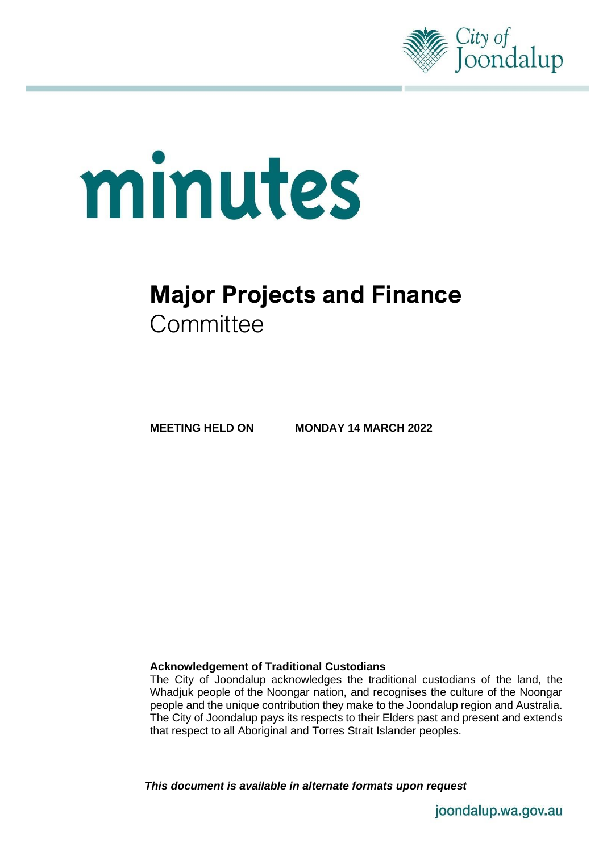

# minutes

# **Major Projects and Finance Committee**

**MEETING HELD ON MONDAY 14 MARCH 2022**

#### **Acknowledgement of Traditional Custodians**

The City of Joondalup acknowledges the traditional custodians of the land, the Whadjuk people of the Noongar nation, and recognises the culture of the Noongar people and the unique contribution they make to the Joondalup region and Australia. The City of Joondalup pays its respects to their Elders past and present and extends that respect to all Aboriginal and Torres Strait Islander peoples.

*This document is available in alternate formats upon request*